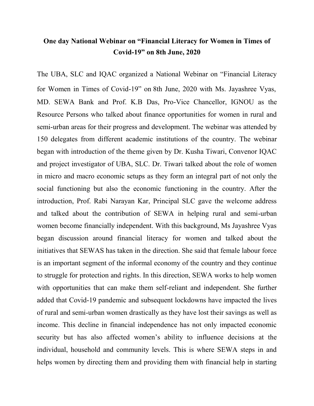### **One day National Webinar on "Financial Literacy for Women in Times of Covid-19" on 8th June, 2020**

The UBA, SLC and IQAC organized a National Webinar on "Financial Literacy for Women in Times of Covid-19" on 8th June, 2020 with Ms. Jayashree Vyas, MD. SEWA Bank and Prof. K.B Das, Pro-Vice Chancellor, IGNOU as the Resource Persons who talked about finance opportunities for women in rural and semi-urban areas for their progress and development. The webinar was attended by 150 delegates from different academic institutions of the country. The webinar began with introduction of the theme given by Dr. Kusha Tiwari, Convenor IQAC and project investigator of UBA, SLC. Dr. Tiwari talked about the role of women in micro and macro economic setups as they form an integral part of not only the social functioning but also the economic functioning in the country. After the introduction, Prof. Rabi Narayan Kar, Principal SLC gave the welcome address and talked about the contribution of SEWA in helping rural and semi-urban women become financially independent. With this background, Ms Jayashree Vyas began discussion around financial literacy for women and talked about the initiatives that SEWAS has taken in the direction. She said that female labour force is an important segment of the informal economy of the country and they continue to struggle for protection and rights. In this direction, SEWA works to help women with opportunities that can make them self-reliant and independent. She further added that Covid-19 pandemic and subsequent lockdowns have impacted the lives of rural and semi-urban women drastically as they have lost their savings as well as income. This decline in financial independence has not only impacted economic security but has also affected women's ability to influence decisions at the individual, household and community levels. This is where SEWA steps in and helps women by directing them and providing them with financial help in starting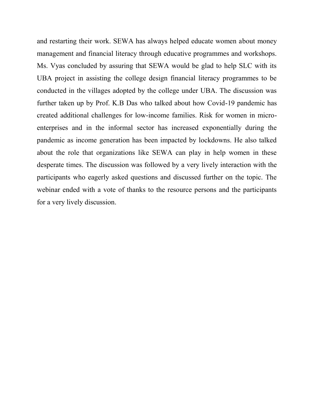and restarting their work. SEWA has always helped educate women about money management and financial literacy through educative programmes and workshops. Ms. Vyas concluded by assuring that SEWA would be glad to help SLC with its UBA project in assisting the college design financial literacy programmes to be conducted in the villages adopted by the college under UBA. The discussion was further taken up by Prof. K.B Das who talked about how Covid-19 pandemic has created additional challenges for low-income families. Risk for women in microenterprises and in the informal sector has increased exponentially during the pandemic as income generation has been impacted by lockdowns. He also talked about the role that organizations like SEWA can play in help women in these desperate times. The discussion was followed by a very lively interaction with the participants who eagerly asked questions and discussed further on the topic. The webinar ended with a vote of thanks to the resource persons and the participants for a very lively discussion.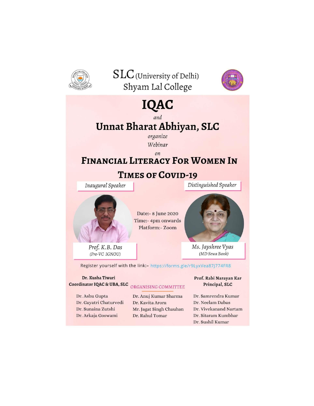

SLC (University of Delhi) Shyam Lal College



### **IQAC** and

## Unnat Bharat Abhiyan, SLC

organize Webinar

on

# **FINANCIAL LITERACY FOR WOMEN IN**

### **TIMES OF COVID-19**

Inaugural Speaker





Date:- 8 June 2020 Time:- 4pm onwards Platform:- Zoom

Prof. K.B. Das (Pro-VC IGNOU)



Ms. Jayshree Vyas (MD Sewa Bank)

Register yourself with the link:- https://forms.gle/r9LyxVea87J774FR8

#### Dr. Kusha Tiwari Coordinator IQAC & UBA, SLC ORGANISING COMMITTEE

Dr. Ashu Gupta Dr. Gayatri Chaturvedi Dr. Sunaina Zutshi Dr. Arkaja Goswami

Dr. Anuj Kumar Sharma Dr. Kavita Arora Mr. Jagat Singh Chauhan Dr. Rahul Tomar

#### Prof. Rabi Narayan Kar Principal, SLC

Dr. Samrendra Kumar Dr. Neelam Dabas Dr. Vivekanand Nartam Dr. Sitaram Kumbhar Dr. Sushil Kumar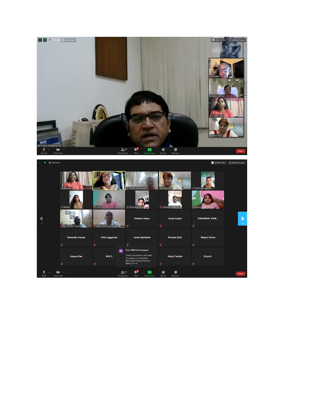

| $\odot$<br>ø                        | <b>Recording</b>                                             |                       |                                                                                                                                      |                                            | Speaker View                      | 북는 Exit Full Screen |
|-------------------------------------|--------------------------------------------------------------|-----------------------|--------------------------------------------------------------------------------------------------------------------------------------|--------------------------------------------|-----------------------------------|---------------------|
|                                     | Kusha Tiwari                                                 | Ruchika               | Shyam Lal College                                                                                                                    | Jayshree Vyas                              | X Kanhu Charan Bar                |                     |
|                                     | X Nokie6                                                     | % sushil              | X Monica Sharma                                                                                                                      | X Vivekanand Nartam                        | <b>Anchal</b>                     |                     |
| 1/3                                 | 华德国<br>Dr. Anuj Kr. Sharma                                   | Rahul Tomar           | <b>Neelam Dabas</b>                                                                                                                  | <b>Sonal Gupta</b><br>$\pmb{\mathcal{R}}$  | SHRAWAN KUM<br>$\pmb{\mathbf{x}}$ | 1/3                 |
|                                     | <b>Devender Kumar</b><br>$\mathbf{z}$<br>$\pmb{\mathcal{R}}$ | <b>Nitin Aggarwal</b> | Anita Samkaria<br>¥                                                                                                                  | <b>Renuka Dixit</b><br>$\pmb{\mathcal{X}}$ | Mayuri Dutta<br>$\chi$            |                     |
|                                     | Anjana Das<br>$\pmb{x}$<br>$\pmb{\varkappa}$                 | RS<br><b>RKSS</b>     | From RKS S to Everyone<br>I thank you both sir and mam<br>for giving us a important<br>information about financial<br>literacy for w | <b>Nitya Tandon</b><br>$\pmb{\chi}$        | Divya K.<br>$\pmb{\chi}$          |                     |
| $\sim$<br><b>Stop Video</b><br>Mute |                                                              |                       | $\bullet$<br>$22^{74}$<br>$\hat{\mathbf{T}}$<br><b>Share Screen</b><br>Participants<br>Chat                                          | ø<br>Reactions<br>Record                   |                                   | Leave               |